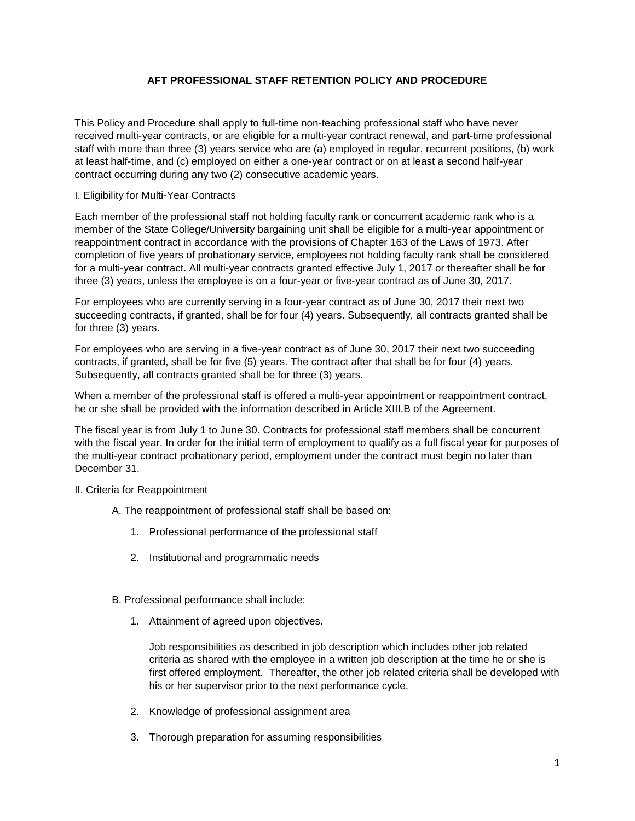# **AFT PROFESSIONAL STAFF RETENTION POLICY AND PROCEDURE**

This Policy and Procedure shall apply to full-time non-teaching professional staff who have never received multi-year contracts, or are eligible for a multi-year contract renewal, and part-time professional staff with more than three (3) years service who are (a) employed in regular, recurrent positions, (b) work at least half-time, and (c) employed on either a one-year contract or on at least a second half-year contract occurring during any two (2) consecutive academic years.

## I. Eligibility for Multi-Year Contracts

Each member of the professional staff not holding faculty rank or concurrent academic rank who is a member of the State College/University bargaining unit shall be eligible for a multi-year appointment or reappointment contract in accordance with the provisions of Chapter 163 of the Laws of 1973. After completion of five years of probationary service, employees not holding faculty rank shall be considered for a multi-year contract. All multi-year contracts granted effective July 1, 2017 or thereafter shall be for three (3) years, unless the employee is on a four-year or five-year contract as of June 30, 2017.

For employees who are currently serving in a four-year contract as of June 30, 2017 their next two succeeding contracts, if granted, shall be for four (4) years. Subsequently, all contracts granted shall be for three (3) years.

For employees who are serving in a five-year contract as of June 30, 2017 their next two succeeding contracts, if granted, shall be for five (5) years. The contract after that shall be for four (4) years. Subsequently, all contracts granted shall be for three (3) years.

When a member of the professional staff is offered a multi-year appointment or reappointment contract, he or she shall be provided with the information described in Article XIII.B of the Agreement.

The fiscal year is from July 1 to June 30. Contracts for professional staff members shall be concurrent with the fiscal year. In order for the initial term of employment to qualify as a full fiscal year for purposes of the multi-year contract probationary period, employment under the contract must begin no later than December 31.

## II. Criteria for Reappointment

- A. The reappointment of professional staff shall be based on:
	- 1. Professional performance of the professional staff
	- 2. Institutional and programmatic needs
- B. Professional performance shall include:
	- 1. Attainment of agreed upon objectives.

Job responsibilities as described in job description which includes other job related criteria as shared with the employee in a written job description at the time he or she is first offered employment. Thereafter, the other job related criteria shall be developed with his or her supervisor prior to the next performance cycle.

- 2. Knowledge of professional assignment area
- 3. Thorough preparation for assuming responsibilities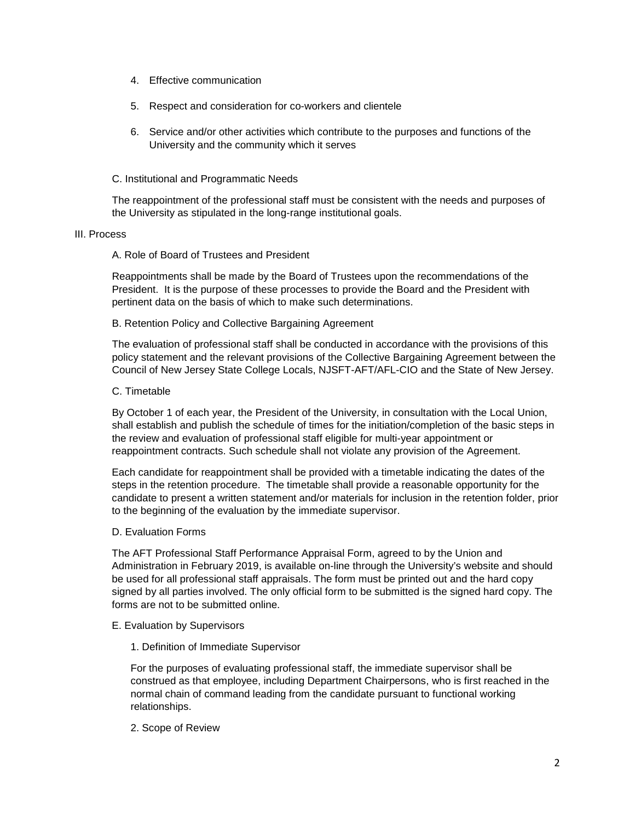- 4. Effective communication
- 5. Respect and consideration for co-workers and clientele
- 6. Service and/or other activities which contribute to the purposes and functions of the University and the community which it serves
- C. Institutional and Programmatic Needs

The reappointment of the professional staff must be consistent with the needs and purposes of the University as stipulated in the long-range institutional goals.

## III. Process

## A. Role of Board of Trustees and President

Reappointments shall be made by the Board of Trustees upon the recommendations of the President. It is the purpose of these processes to provide the Board and the President with pertinent data on the basis of which to make such determinations.

## B. Retention Policy and Collective Bargaining Agreement

The evaluation of professional staff shall be conducted in accordance with the provisions of this policy statement and the relevant provisions of the Collective Bargaining Agreement between the Council of New Jersey State College Locals, NJSFT-AFT/AFL-CIO and the State of New Jersey.

## C. Timetable

By October 1 of each year, the President of the University, in consultation with the Local Union, shall establish and publish the schedule of times for the initiation/completion of the basic steps in the review and evaluation of professional staff eligible for multi-year appointment or reappointment contracts. Such schedule shall not violate any provision of the Agreement.

Each candidate for reappointment shall be provided with a timetable indicating the dates of the steps in the retention procedure. The timetable shall provide a reasonable opportunity for the candidate to present a written statement and/or materials for inclusion in the retention folder, prior to the beginning of the evaluation by the immediate supervisor.

### D. Evaluation Forms

The AFT Professional Staff Performance Appraisal Form, agreed to by the Union and Administration in February 2019, is available on-line through the University's website and should be used for all professional staff appraisals. The form must be printed out and the hard copy signed by all parties involved. The only official form to be submitted is the signed hard copy. The forms are not to be submitted online.

### E. Evaluation by Supervisors

1. Definition of Immediate Supervisor

For the purposes of evaluating professional staff, the immediate supervisor shall be construed as that employee, including Department Chairpersons, who is first reached in the normal chain of command leading from the candidate pursuant to functional working relationships.

2. Scope of Review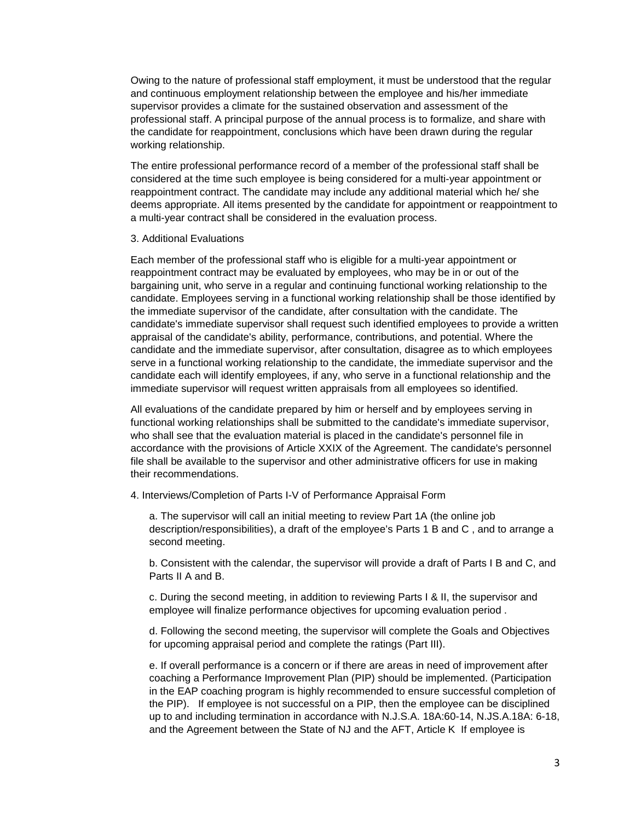Owing to the nature of professional staff employment, it must be understood that the regular and continuous employment relationship between the employee and his/her immediate supervisor provides a climate for the sustained observation and assessment of the professional staff. A principal purpose of the annual process is to formalize, and share with the candidate for reappointment, conclusions which have been drawn during the regular working relationship.

The entire professional performance record of a member of the professional staff shall be considered at the time such employee is being considered for a multi-year appointment or reappointment contract. The candidate may include any additional material which he/ she deems appropriate. All items presented by the candidate for appointment or reappointment to a multi-year contract shall be considered in the evaluation process.

#### 3. Additional Evaluations

Each member of the professional staff who is eligible for a multi-year appointment or reappointment contract may be evaluated by employees, who may be in or out of the bargaining unit, who serve in a regular and continuing functional working relationship to the candidate. Employees serving in a functional working relationship shall be those identified by the immediate supervisor of the candidate, after consultation with the candidate. The candidate's immediate supervisor shall request such identified employees to provide a written appraisal of the candidate's ability, performance, contributions, and potential. Where the candidate and the immediate supervisor, after consultation, disagree as to which employees serve in a functional working relationship to the candidate, the immediate supervisor and the candidate each will identify employees, if any, who serve in a functional relationship and the immediate supervisor will request written appraisals from all employees so identified.

All evaluations of the candidate prepared by him or herself and by employees serving in functional working relationships shall be submitted to the candidate's immediate supervisor, who shall see that the evaluation material is placed in the candidate's personnel file in accordance with the provisions of Article XXIX of the Agreement. The candidate's personnel file shall be available to the supervisor and other administrative officers for use in making their recommendations.

#### 4. Interviews/Completion of Parts I-V of Performance Appraisal Form

a. The supervisor will call an initial meeting to review Part 1A (the online job description/responsibilities), a draft of the employee's Parts 1 B and C , and to arrange a second meeting.

b. Consistent with the calendar, the supervisor will provide a draft of Parts I B and C, and Parts II A and B.

c. During the second meeting, in addition to reviewing Parts I & II, the supervisor and employee will finalize performance objectives for upcoming evaluation period .

d. Following the second meeting, the supervisor will complete the Goals and Objectives for upcoming appraisal period and complete the ratings (Part III).

e. If overall performance is a concern or if there are areas in need of improvement after coaching a Performance Improvement Plan (PIP) should be implemented. (Participation in the EAP coaching program is highly recommended to ensure successful completion of the PIP). If employee is not successful on a PIP, then the employee can be disciplined up to and including termination in accordance with N.J.S.A. 18A:60-14, N.JS.A.18A: 6-18, and the Agreement between the State of NJ and the AFT, Article K If employee is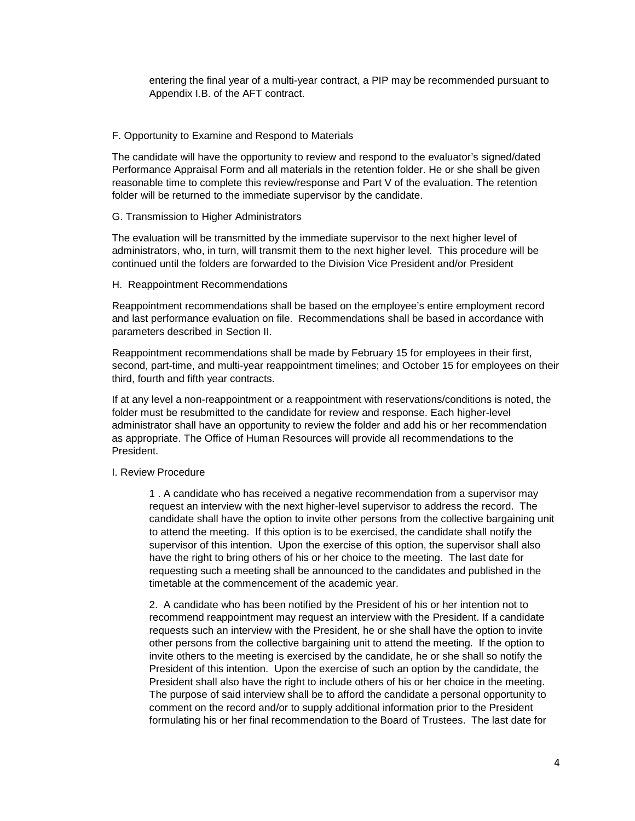entering the final year of a multi-year contract, a PIP may be recommended pursuant to Appendix I.B. of the AFT contract.

### F. Opportunity to Examine and Respond to Materials

The candidate will have the opportunity to review and respond to the evaluator's signed/dated Performance Appraisal Form and all materials in the retention folder. He or she shall be given reasonable time to complete this review/response and Part V of the evaluation. The retention folder will be returned to the immediate supervisor by the candidate.

#### G. Transmission to Higher Administrators

The evaluation will be transmitted by the immediate supervisor to the next higher level of administrators, who, in turn, will transmit them to the next higher level. This procedure will be continued until the folders are forwarded to the Division Vice President and/or President

#### H. Reappointment Recommendations

Reappointment recommendations shall be based on the employee's entire employment record and last performance evaluation on file. Recommendations shall be based in accordance with parameters described in Section II.

Reappointment recommendations shall be made by February 15 for employees in their first, second, part-time, and multi-year reappointment timelines; and October 15 for employees on their third, fourth and fifth year contracts.

If at any level a non-reappointment or a reappointment with reservations/conditions is noted, the folder must be resubmitted to the candidate for review and response. Each higher-level administrator shall have an opportunity to review the folder and add his or her recommendation as appropriate. The Office of Human Resources will provide all recommendations to the President.

### I. Review Procedure

1 . A candidate who has received a negative recommendation from a supervisor may request an interview with the next higher-level supervisor to address the record. The candidate shall have the option to invite other persons from the collective bargaining unit to attend the meeting. If this option is to be exercised, the candidate shall notify the supervisor of this intention. Upon the exercise of this option, the supervisor shall also have the right to bring others of his or her choice to the meeting. The last date for requesting such a meeting shall be announced to the candidates and published in the timetable at the commencement of the academic year.

2. A candidate who has been notified by the President of his or her intention not to recommend reappointment may request an interview with the President. If a candidate requests such an interview with the President, he or she shall have the option to invite other persons from the collective bargaining unit to attend the meeting. If the option to invite others to the meeting is exercised by the candidate, he or she shall so notify the President of this intention. Upon the exercise of such an option by the candidate, the President shall also have the right to include others of his or her choice in the meeting. The purpose of said interview shall be to afford the candidate a personal opportunity to comment on the record and/or to supply additional information prior to the President formulating his or her final recommendation to the Board of Trustees. The last date for